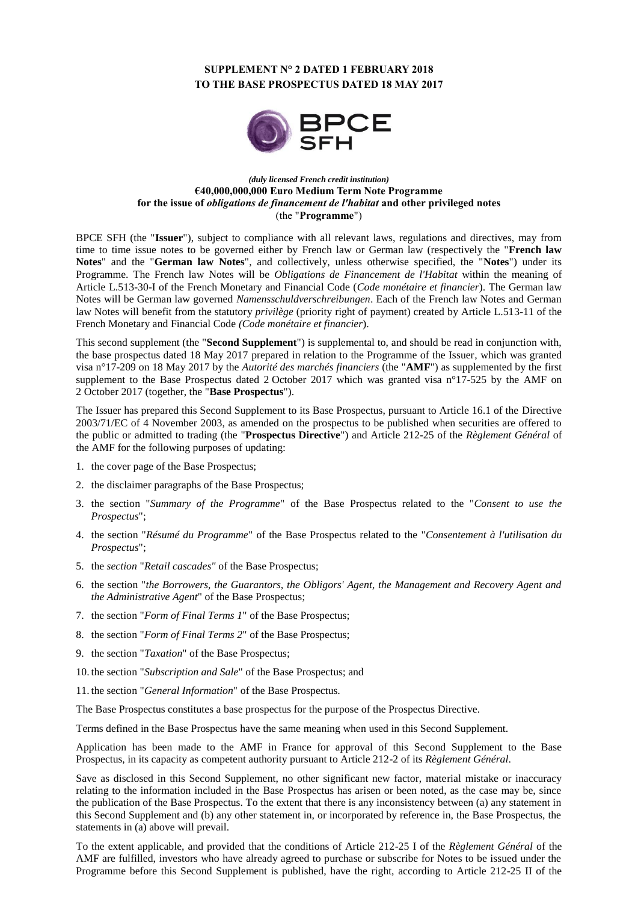# **SUPPLEMENT N° 2 DATED 1 FEBRUARY 2018 TO THE BASE PROSPECTUS DATED 18 MAY 2017**



### *(duly licensed French credit institution)* **€40,000,000,000 Euro Medium Term Note Programme for the issue of** *obligations de financement de l'habitat* **and other privileged notes** (the "**Programme**")

BPCE SFH (the "**Issuer**"), subject to compliance with all relevant laws, regulations and directives, may from time to time issue notes to be governed either by French law or German law (respectively the "**French law Notes**" and the "**German law Notes**", and collectively, unless otherwise specified, the "**Notes**") under its Programme. The French law Notes will be *Obligations de Financement de l'Habitat* within the meaning of Article L.513-30-I of the French Monetary and Financial Code (*Code monétaire et financier*). The German law Notes will be German law governed *Namensschuldverschreibungen*. Each of the French law Notes and German law Notes will benefit from the statutory *privilège* (priority right of payment) created by Article L.513-11 of the French Monetary and Financial Code *(Code monétaire et financier*).

This second supplement (the "**Second Supplement**") is supplemental to, and should be read in conjunction with, the base prospectus dated 18 May 2017 prepared in relation to the Programme of the Issuer, which was granted visa n°17-209 on 18 May 2017 by the *Autorité des marchés financiers* (the "**AMF**") as supplemented by the first supplement to the Base Prospectus dated 2 October 2017 which was granted visa n°17-525 by the AMF on 2 October 2017 (together, the "**Base Prospectus**").

The Issuer has prepared this Second Supplement to its Base Prospectus, pursuant to Article 16.1 of the Directive 2003/71/EC of 4 November 2003, as amended on the prospectus to be published when securities are offered to the public or admitted to trading (the "**Prospectus Directive**") and Article 212-25 of the *Règlement Général* of the AMF for the following purposes of updating:

- 1. the cover page of the Base Prospectus;
- 2. the disclaimer paragraphs of the Base Prospectus;
- 3. the section "*Summary of the Programme*" of the Base Prospectus related to the "*Consent to use the Prospectus*";
- 4. the section "*Résumé du Programme*" of the Base Prospectus related to the "*Consentement à l'utilisation du Prospectus*";
- 5. the *section* "*Retail cascades"* of the Base Prospectus;
- 6. the section "*the Borrowers, the Guarantors, the Obligors' Agent, the Management and Recovery Agent and the Administrative Agent*" of the Base Prospectus;
- 7. the section "*Form of Final Terms 1*" of the Base Prospectus;
- 8. the section "*Form of Final Terms 2*" of the Base Prospectus;
- 9. the section "*Taxation*" of the Base Prospectus;
- 10. the section "*Subscription and Sale*" of the Base Prospectus; and
- 11. the section "*General Information*" of the Base Prospectus.

The Base Prospectus constitutes a base prospectus for the purpose of the Prospectus Directive.

Terms defined in the Base Prospectus have the same meaning when used in this Second Supplement.

Application has been made to the AMF in France for approval of this Second Supplement to the Base Prospectus, in its capacity as competent authority pursuant to Article 212-2 of its *Règlement Général*.

Save as disclosed in this Second Supplement, no other significant new factor, material mistake or inaccuracy relating to the information included in the Base Prospectus has arisen or been noted, as the case may be, since the publication of the Base Prospectus. To the extent that there is any inconsistency between (a) any statement in this Second Supplement and (b) any other statement in, or incorporated by reference in, the Base Prospectus, the statements in (a) above will prevail.

To the extent applicable, and provided that the conditions of Article 212-25 I of the *Règlement Général* of the AMF are fulfilled, investors who have already agreed to purchase or subscribe for Notes to be issued under the Programme before this Second Supplement is published, have the right, according to Article 212-25 II of the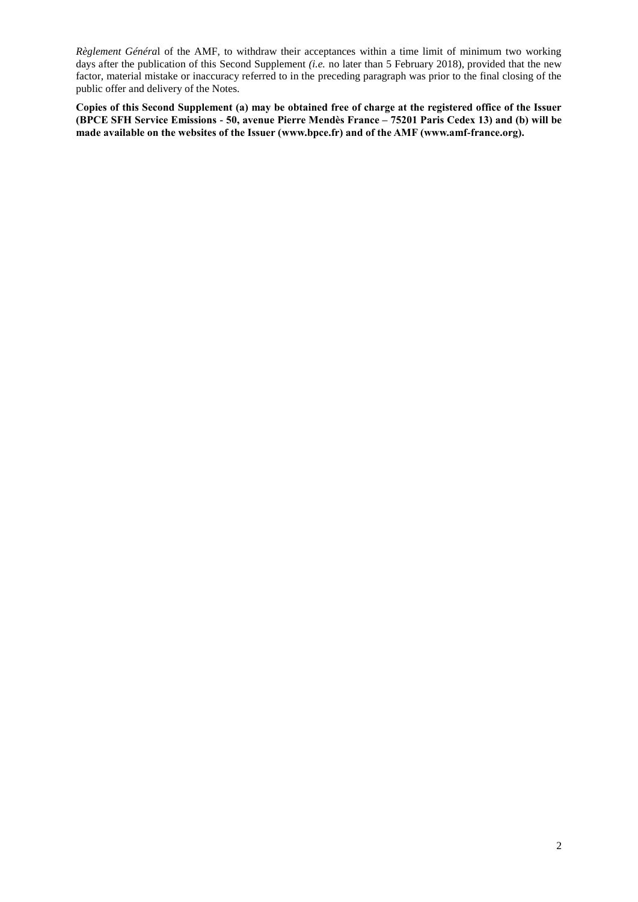*Règlement Généra*l of the AMF, to withdraw their acceptances within a time limit of minimum two working days after the publication of this Second Supplement *(i.e.* no later than 5 February 2018), provided that the new factor, material mistake or inaccuracy referred to in the preceding paragraph was prior to the final closing of the public offer and delivery of the Notes.

**Copies of this Second Supplement (a) may be obtained free of charge at the registered office of the Issuer (BPCE SFH Service Emissions - 50, avenue Pierre Mendès France – 75201 Paris Cedex 13) and (b) will be made available on the websites of the Issuer [\(www.bpce.fr\)](http://www.bpce.fr/) and of the AMF [\(www.amf-france.org\)](http://www.amf-france.org/).**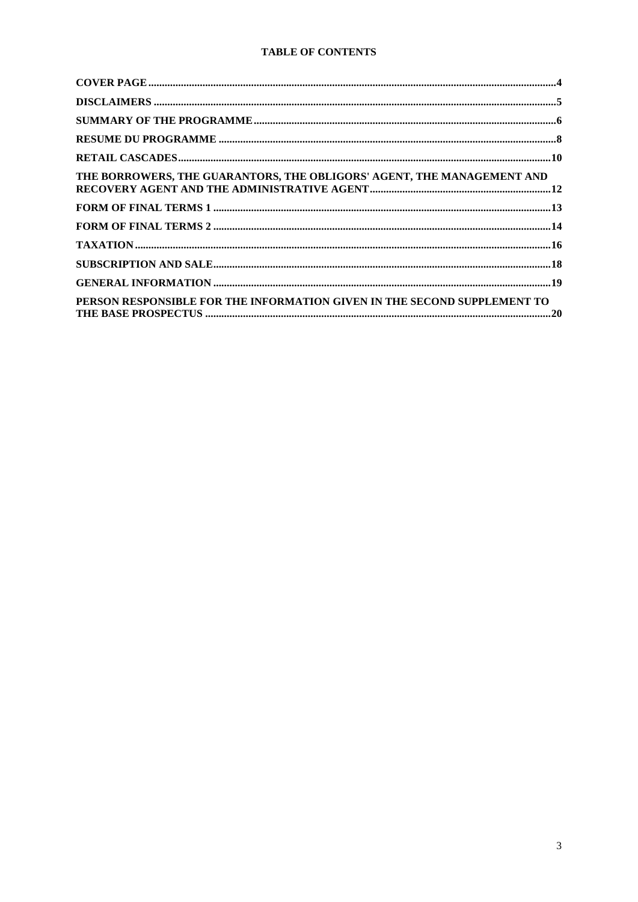# **TABLE OF CONTENTS**

| THE BORROWERS, THE GUARANTORS, THE OBLIGORS' AGENT, THE MANAGEMENT AND   |  |
|--------------------------------------------------------------------------|--|
|                                                                          |  |
|                                                                          |  |
|                                                                          |  |
|                                                                          |  |
|                                                                          |  |
| PERSON RESPONSIBLE FOR THE INFORMATION GIVEN IN THE SECOND SUPPLEMENT TO |  |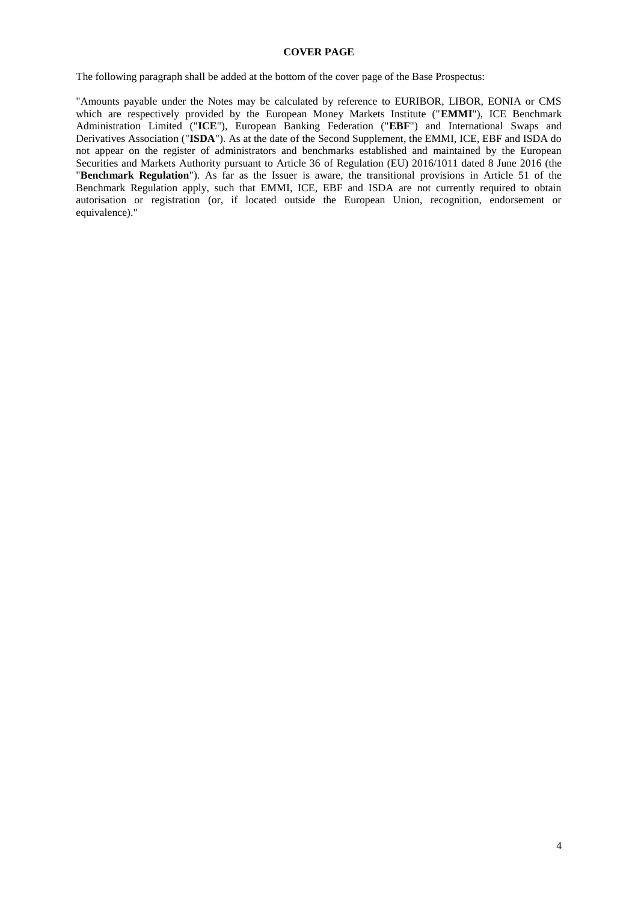### **COVER PAGE**

<span id="page-3-0"></span>The following paragraph shall be added at the bottom of the cover page of the Base Prospectus:

"Amounts payable under the Notes may be calculated by reference to EURIBOR, LIBOR, EONIA or CMS which are respectively provided by the European Money Markets Institute ("**EMMI**"), ICE Benchmark Administration Limited ("**ICE**"), European Banking Federation ("**EBF**") and International Swaps and Derivatives Association ("**ISDA**"). As at the date of the Second Supplement, the EMMI, ICE, EBF and ISDA do not appear on the register of administrators and benchmarks established and maintained by the European Securities and Markets Authority pursuant to Article 36 of Regulation (EU) 2016/1011 dated 8 June 2016 (the "**Benchmark Regulation**"). As far as the Issuer is aware, the transitional provisions in Article 51 of the Benchmark Regulation apply, such that EMMI, ICE, EBF and ISDA are not currently required to obtain autorisation or registration (or, if located outside the European Union, recognition, endorsement or equivalence)."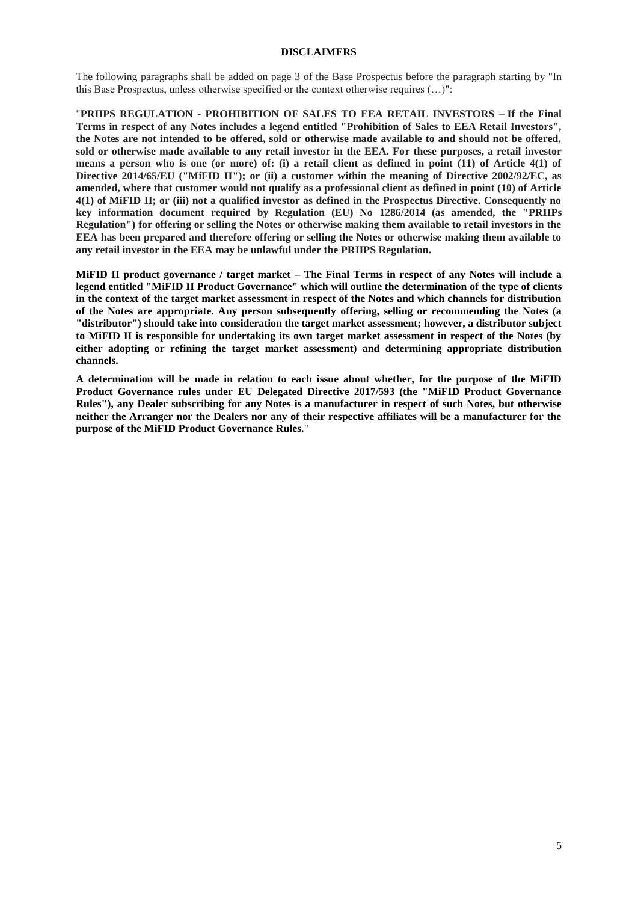#### **DISCLAIMERS**

<span id="page-4-0"></span>The following paragraphs shall be added on page 3 of the Base Prospectus before the paragraph starting by "In this Base Prospectus, unless otherwise specified or the context otherwise requires (…)":

"**PRIIPS REGULATION - PROHIBITION OF SALES TO EEA RETAIL INVESTORS – If the Final Terms in respect of any Notes includes a legend entitled "Prohibition of Sales to EEA Retail Investors", the Notes are not intended to be offered, sold or otherwise made available to and should not be offered, sold or otherwise made available to any retail investor in the EEA. For these purposes, a retail investor means a person who is one (or more) of: (i) a retail client as defined in point (11) of Article 4(1) of Directive 2014/65/EU ("MiFID II"); or (ii) a customer within the meaning of Directive 2002/92/EC, as amended, where that customer would not qualify as a professional client as defined in point (10) of Article 4(1) of MiFID II; or (iii) not a qualified investor as defined in the Prospectus Directive. Consequently no key information document required by Regulation (EU) No 1286/2014 (as amended, the "PRIIPs Regulation") for offering or selling the Notes or otherwise making them available to retail investors in the EEA has been prepared and therefore offering or selling the Notes or otherwise making them available to any retail investor in the EEA may be unlawful under the PRIIPS Regulation.**

**MiFID II product governance / target market – The Final Terms in respect of any Notes will include a legend entitled "MiFID II Product Governance" which will outline the determination of the type of clients in the context of the target market assessment in respect of the Notes and which channels for distribution of the Notes are appropriate. Any person subsequently offering, selling or recommending the Notes (a "distributor") should take into consideration the target market assessment; however, a distributor subject to MiFID II is responsible for undertaking its own target market assessment in respect of the Notes (by either adopting or refining the target market assessment) and determining appropriate distribution channels.** 

**A determination will be made in relation to each issue about whether, for the purpose of the MiFID Product Governance rules under EU Delegated Directive 2017/593 (the "MiFID Product Governance Rules"), any Dealer subscribing for any Notes is a manufacturer in respect of such Notes, but otherwise neither the Arranger nor the Dealers nor any of their respective affiliates will be a manufacturer for the purpose of the MiFID Product Governance Rules.**"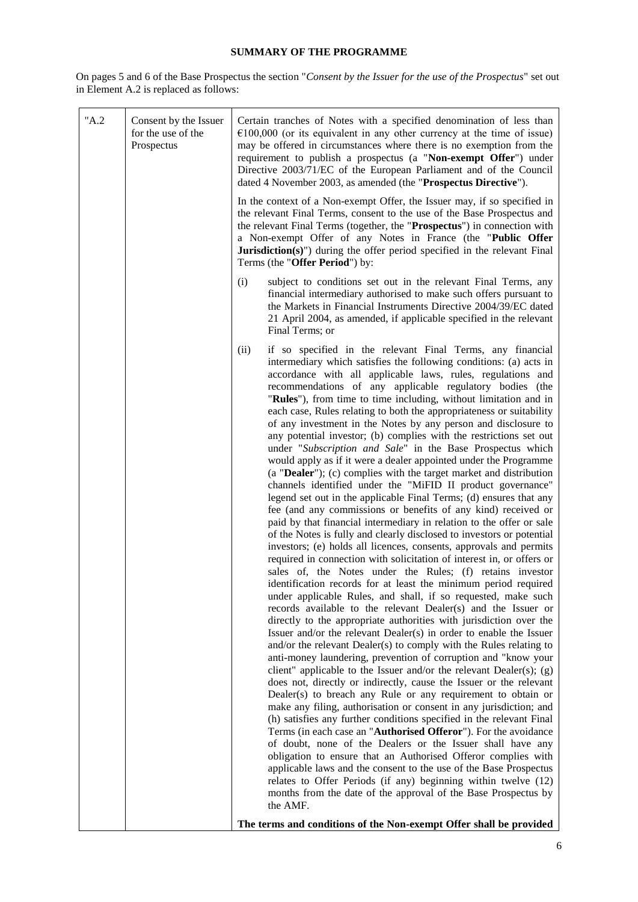# **SUMMARY OF THE PROGRAMME**

<span id="page-5-0"></span>On pages 5 and 6 of the Base Prospectus the section "*Consent by the Issuer for the use of the Prospectus*" set out in Element A.2 is replaced as follows:

| "A.2" | Consent by the Issuer<br>for the use of the<br>Prospectus | Certain tranches of Notes with a specified denomination of less than<br>$€100,000$ (or its equivalent in any other currency at the time of issue)<br>may be offered in circumstances where there is no exemption from the<br>requirement to publish a prospectus (a "Non-exempt Offer") under<br>Directive 2003/71/EC of the European Parliament and of the Council<br>dated 4 November 2003, as amended (the "Prospectus Directive").                                                                                                                                                                                                                                                                                                                                                                                                                                                                                                                                                                                                                                                                                                                                                                                                                                                                                                                                                                                                                                                                                                                                                                                                                                                                                                                                                                                                                                                                                                                                                                                                                                                                                                                                                                                                                                                                                                                                                                                                                                                                                                                                                                                                                                                |  |
|-------|-----------------------------------------------------------|---------------------------------------------------------------------------------------------------------------------------------------------------------------------------------------------------------------------------------------------------------------------------------------------------------------------------------------------------------------------------------------------------------------------------------------------------------------------------------------------------------------------------------------------------------------------------------------------------------------------------------------------------------------------------------------------------------------------------------------------------------------------------------------------------------------------------------------------------------------------------------------------------------------------------------------------------------------------------------------------------------------------------------------------------------------------------------------------------------------------------------------------------------------------------------------------------------------------------------------------------------------------------------------------------------------------------------------------------------------------------------------------------------------------------------------------------------------------------------------------------------------------------------------------------------------------------------------------------------------------------------------------------------------------------------------------------------------------------------------------------------------------------------------------------------------------------------------------------------------------------------------------------------------------------------------------------------------------------------------------------------------------------------------------------------------------------------------------------------------------------------------------------------------------------------------------------------------------------------------------------------------------------------------------------------------------------------------------------------------------------------------------------------------------------------------------------------------------------------------------------------------------------------------------------------------------------------------------------------------------------------------------------------------------------------------|--|
|       |                                                           | In the context of a Non-exempt Offer, the Issuer may, if so specified in<br>the relevant Final Terms, consent to the use of the Base Prospectus and<br>the relevant Final Terms (together, the "Prospectus") in connection with<br>a Non-exempt Offer of any Notes in France (the "Public Offer<br>Jurisdiction(s)") during the offer period specified in the relevant Final<br>Terms (the "Offer Period") by:                                                                                                                                                                                                                                                                                                                                                                                                                                                                                                                                                                                                                                                                                                                                                                                                                                                                                                                                                                                                                                                                                                                                                                                                                                                                                                                                                                                                                                                                                                                                                                                                                                                                                                                                                                                                                                                                                                                                                                                                                                                                                                                                                                                                                                                                        |  |
|       |                                                           | (i)<br>subject to conditions set out in the relevant Final Terms, any<br>financial intermediary authorised to make such offers pursuant to<br>the Markets in Financial Instruments Directive 2004/39/EC dated<br>21 April 2004, as amended, if applicable specified in the relevant<br>Final Terms; or                                                                                                                                                                                                                                                                                                                                                                                                                                                                                                                                                                                                                                                                                                                                                                                                                                                                                                                                                                                                                                                                                                                                                                                                                                                                                                                                                                                                                                                                                                                                                                                                                                                                                                                                                                                                                                                                                                                                                                                                                                                                                                                                                                                                                                                                                                                                                                                |  |
|       |                                                           | (ii)<br>if so specified in the relevant Final Terms, any financial<br>intermediary which satisfies the following conditions: (a) acts in<br>accordance with all applicable laws, rules, regulations and<br>recommendations of any applicable regulatory bodies (the<br>"Rules"), from time to time including, without limitation and in<br>each case, Rules relating to both the appropriateness or suitability<br>of any investment in the Notes by any person and disclosure to<br>any potential investor; (b) complies with the restrictions set out<br>under "Subscription and Sale" in the Base Prospectus which<br>would apply as if it were a dealer appointed under the Programme<br>(a "Dealer"); (c) complies with the target market and distribution<br>channels identified under the "MiFID II product governance"<br>legend set out in the applicable Final Terms; (d) ensures that any<br>fee (and any commissions or benefits of any kind) received or<br>paid by that financial intermediary in relation to the offer or sale<br>of the Notes is fully and clearly disclosed to investors or potential<br>investors; (e) holds all licences, consents, approvals and permits<br>required in connection with solicitation of interest in, or offers or<br>sales of, the Notes under the Rules; (f) retains investor<br>identification records for at least the minimum period required<br>under applicable Rules, and shall, if so requested, make such<br>records available to the relevant Dealer(s) and the Issuer or<br>directly to the appropriate authorities with jurisdiction over the<br>Issuer and/or the relevant Dealer(s) in order to enable the Issuer<br>and/or the relevant Dealer(s) to comply with the Rules relating to<br>anti-money laundering, prevention of corruption and "know your<br>client" applicable to the Issuer and/or the relevant Dealer(s); $(g)$<br>does not, directly or indirectly, cause the Issuer or the relevant<br>Dealer(s) to breach any Rule or any requirement to obtain or<br>make any filing, authorisation or consent in any jurisdiction; and<br>(h) satisfies any further conditions specified in the relevant Final<br>Terms (in each case an "Authorised Offeror"). For the avoidance<br>of doubt, none of the Dealers or the Issuer shall have any<br>obligation to ensure that an Authorised Offeror complies with<br>applicable laws and the consent to the use of the Base Prospectus<br>relates to Offer Periods (if any) beginning within twelve (12)<br>months from the date of the approval of the Base Prospectus by<br>the AMF.<br>The terms and conditions of the Non-exempt Offer shall be provided |  |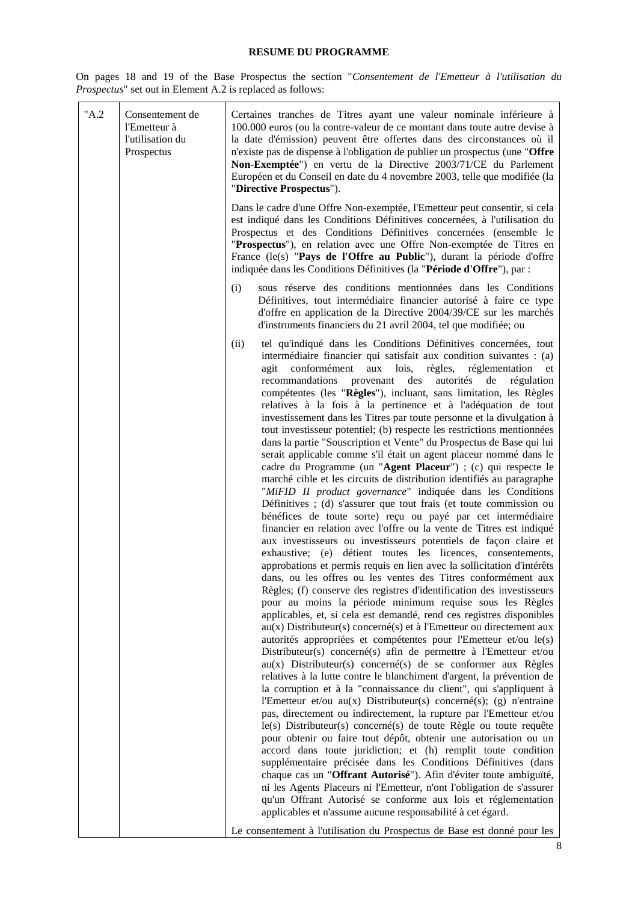# **RESUME DU PROGRAMME**

<span id="page-7-0"></span>On pages 18 and 19 of the Base Prospectus the section "*Consentement de l'Emetteur à l'utilisation du Prospectus*" set out in Element A.2 is replaced as follows:

| "A.2" | Consentement de<br>l'Emetteur à<br>l'utilisation du<br>Prospectus | Certaines tranches de Titres ayant une valeur nominale inférieure à<br>100.000 euros (ou la contre-valeur de ce montant dans toute autre devise à<br>la date d'émission) peuvent être offertes dans des circonstances où il<br>n'existe pas de dispense à l'obligation de publier un prospectus (une "Offre<br>Non-Exemptée") en vertu de la Directive 2003/71/CE du Parlement<br>Européen et du Conseil en date du 4 novembre 2003, telle que modifiée (la<br>"Directive Prospectus").                                                                                                                                                                                                                                                                                                                                                                                                                                                                                                                                                                                                                                                                                                                                                                                                                                                                                                                                                                                                                                                                                                                                                                                                                                                                                                                                                                                                                                                                                                                                                                                                                                                                                                                                                                                                                                                                                                                                                                                                                                                                                                                                                                                                                                                                                                                                                                               |
|-------|-------------------------------------------------------------------|-----------------------------------------------------------------------------------------------------------------------------------------------------------------------------------------------------------------------------------------------------------------------------------------------------------------------------------------------------------------------------------------------------------------------------------------------------------------------------------------------------------------------------------------------------------------------------------------------------------------------------------------------------------------------------------------------------------------------------------------------------------------------------------------------------------------------------------------------------------------------------------------------------------------------------------------------------------------------------------------------------------------------------------------------------------------------------------------------------------------------------------------------------------------------------------------------------------------------------------------------------------------------------------------------------------------------------------------------------------------------------------------------------------------------------------------------------------------------------------------------------------------------------------------------------------------------------------------------------------------------------------------------------------------------------------------------------------------------------------------------------------------------------------------------------------------------------------------------------------------------------------------------------------------------------------------------------------------------------------------------------------------------------------------------------------------------------------------------------------------------------------------------------------------------------------------------------------------------------------------------------------------------------------------------------------------------------------------------------------------------------------------------------------------------------------------------------------------------------------------------------------------------------------------------------------------------------------------------------------------------------------------------------------------------------------------------------------------------------------------------------------------------------------------------------------------------------------------------------------------------|
|       |                                                                   | Dans le cadre d'une Offre Non-exemptée, l'Emetteur peut consentir, si cela<br>est indiqué dans les Conditions Définitives concernées, à l'utilisation du<br>Prospectus et des Conditions Définitives concernées (ensemble le<br>"Prospectus"), en relation avec une Offre Non-exemptée de Titres en<br>France (le(s) "Pays de l'Offre au Public"), durant la période d'offre<br>indiquée dans les Conditions Définitives (la "Période d'Offre"), par :                                                                                                                                                                                                                                                                                                                                                                                                                                                                                                                                                                                                                                                                                                                                                                                                                                                                                                                                                                                                                                                                                                                                                                                                                                                                                                                                                                                                                                                                                                                                                                                                                                                                                                                                                                                                                                                                                                                                                                                                                                                                                                                                                                                                                                                                                                                                                                                                                |
|       |                                                                   | sous réserve des conditions mentionnées dans les Conditions<br>(i)<br>Définitives, tout intermédiaire financier autorisé à faire ce type<br>d'offre en application de la Directive 2004/39/CE sur les marchés<br>d'instruments financiers du 21 avril 2004, tel que modifiée; ou                                                                                                                                                                                                                                                                                                                                                                                                                                                                                                                                                                                                                                                                                                                                                                                                                                                                                                                                                                                                                                                                                                                                                                                                                                                                                                                                                                                                                                                                                                                                                                                                                                                                                                                                                                                                                                                                                                                                                                                                                                                                                                                                                                                                                                                                                                                                                                                                                                                                                                                                                                                      |
|       |                                                                   | tel qu'indiqué dans les Conditions Définitives concernées, tout<br>(ii)<br>intermédiaire financier qui satisfait aux condition suivantes : (a)<br>agit conformément<br>aux lois,<br>règles,<br>réglementation<br>et<br>recommandations<br>autorités<br>de<br>provenant<br>des<br>régulation<br>compétentes (les "Règles"), incluant, sans limitation, les Règles<br>relatives à la fois à la pertinence et à l'adéquation de tout<br>investissement dans les Titres par toute personne et la divulgation à<br>tout investisseur potentiel; (b) respecte les restrictions mentionnées<br>dans la partie "Souscription et Vente" du Prospectus de Base qui lui<br>serait applicable comme s'il était un agent placeur nommé dans le<br>cadre du Programme (un "Agent Placeur") ; (c) qui respecte le<br>marché cible et les circuits de distribution identifiés au paragraphe<br>"MiFID II product governance" indiquée dans les Conditions<br>Définitives ; (d) s'assurer que tout frais (et toute commission ou<br>bénéfices de toute sorte) reçu ou payé par cet intermédiaire<br>financier en relation avec l'offre ou la vente de Titres est indiqué<br>aux investisseurs ou investisseurs potentiels de façon claire et<br>exhaustive; (e) détient toutes les licences, consentements,<br>approbations et permis requis en lien avec la sollicitation d'intérêts<br>dans, ou les offres ou les ventes des Titres conformément aux<br>Règles; (f) conserve des registres d'identification des investisseurs<br>pour au moins la période minimum requise sous les Règles<br>applicables, et, si cela est demandé, rend ces registres disponibles<br>$au(x)$ Distributeur(s) concerné(s) et à l'Emetteur ou directement aux<br>autorités appropriées et compétentes pour l'Emetteur et/ou le(s)<br>Distributeur(s) concerné(s) afin de permettre à l'Emetteur et/ou<br>au(x) Distributeur(s) concerné(s) de se conformer aux Règles<br>relatives à la lutte contre le blanchiment d'argent, la prévention de<br>la corruption et à la "connaissance du client", qui s'appliquent à<br>l'Emetteur et/ou $au(x)$ Distributeur(s) concerné(s); (g) n'entraine<br>pas, directement ou indirectement, la rupture par l'Emetteur et/ou<br>le(s) Distributeur(s) concerné(s) de toute Règle ou toute requête<br>pour obtenir ou faire tout dépôt, obtenir une autorisation ou un<br>accord dans toute juridiction; et (h) remplit toute condition<br>supplémentaire précisée dans les Conditions Définitives (dans<br>chaque cas un "Offrant Autorisé"). Afin d'éviter toute ambiguïté,<br>ni les Agents Placeurs ni l'Emetteur, n'ont l'obligation de s'assurer<br>qu'un Offrant Autorisé se conforme aux lois et réglementation<br>applicables et n'assume aucune responsabilité à cet égard.<br>Le consentement à l'utilisation du Prospectus de Base est donné pour les |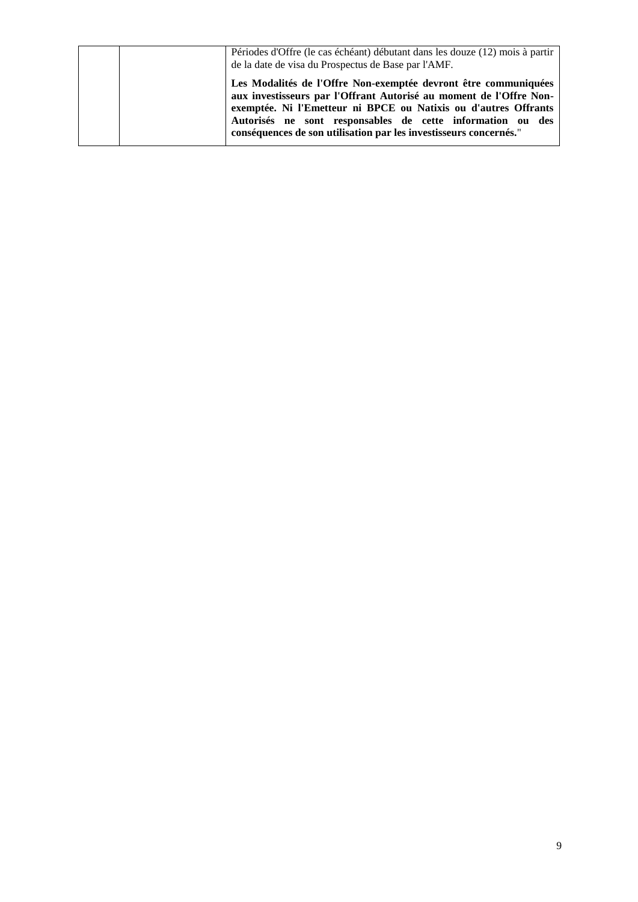|  | Périodes d'Offre (le cas échéant) débutant dans les douze (12) mois à partir<br>de la date de visa du Prospectus de Base par l'AMF.                                                                                                                                                                                                         |
|--|---------------------------------------------------------------------------------------------------------------------------------------------------------------------------------------------------------------------------------------------------------------------------------------------------------------------------------------------|
|  | Les Modalités de l'Offre Non-exemptée devront être communiquées<br>aux investisseurs par l'Offrant Autorisé au moment de l'Offre Non-<br>exemptée. Ni l'Emetteur ni BPCE ou Natixis ou d'autres Offrants<br>Autorisés ne sont responsables de cette information ou des<br>conséquences de son utilisation par les investisseurs concernés." |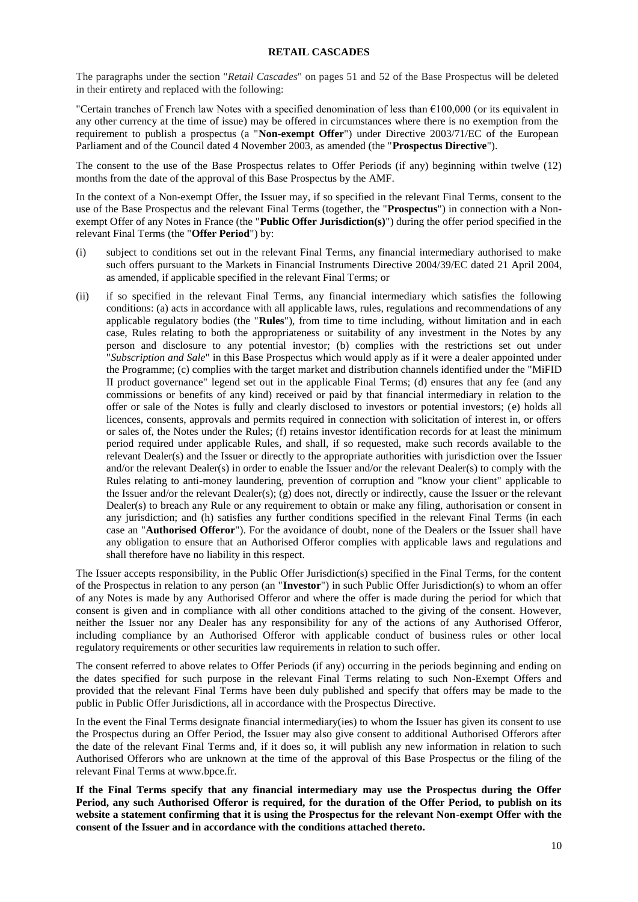#### **RETAIL CASCADES**

<span id="page-9-0"></span>The paragraphs under the section "*Retail Cascades*" on pages 51 and 52 of the Base Prospectus will be deleted in their entirety and replaced with the following:

"Certain tranches of French law Notes with a specified denomination of less than €100,000 (or its equivalent in any other currency at the time of issue) may be offered in circumstances where there is no exemption from the requirement to publish a prospectus (a "**Non-exempt Offer**") under Directive 2003/71/EC of the European Parliament and of the Council dated 4 November 2003, as amended (the "**Prospectus Directive**").

The consent to the use of the Base Prospectus relates to Offer Periods (if any) beginning within twelve (12) months from the date of the approval of this Base Prospectus by the AMF.

In the context of a Non-exempt Offer, the Issuer may, if so specified in the relevant Final Terms, consent to the use of the Base Prospectus and the relevant Final Terms (together, the "**Prospectus**") in connection with a Nonexempt Offer of any Notes in France (the "**Public Offer Jurisdiction(s)**") during the offer period specified in the relevant Final Terms (the "**Offer Period**") by:

- (i) subject to conditions set out in the relevant Final Terms, any financial intermediary authorised to make such offers pursuant to the Markets in Financial Instruments Directive 2004/39/EC dated 21 April 2004, as amended, if applicable specified in the relevant Final Terms; or
- (ii) if so specified in the relevant Final Terms, any financial intermediary which satisfies the following conditions: (a) acts in accordance with all applicable laws, rules, regulations and recommendations of any applicable regulatory bodies (the "**Rules**"), from time to time including, without limitation and in each case, Rules relating to both the appropriateness or suitability of any investment in the Notes by any person and disclosure to any potential investor; (b) complies with the restrictions set out under "*Subscription and Sale*" in this Base Prospectus which would apply as if it were a dealer appointed under the Programme; (c) complies with the target market and distribution channels identified under the "MiFID II product governance" legend set out in the applicable Final Terms; (d) ensures that any fee (and any commissions or benefits of any kind) received or paid by that financial intermediary in relation to the offer or sale of the Notes is fully and clearly disclosed to investors or potential investors; (e) holds all licences, consents, approvals and permits required in connection with solicitation of interest in, or offers or sales of, the Notes under the Rules; (f) retains investor identification records for at least the minimum period required under applicable Rules, and shall, if so requested, make such records available to the relevant Dealer(s) and the Issuer or directly to the appropriate authorities with jurisdiction over the Issuer and/or the relevant Dealer(s) in order to enable the Issuer and/or the relevant Dealer(s) to comply with the Rules relating to anti-money laundering, prevention of corruption and "know your client" applicable to the Issuer and/or the relevant Dealer(s); (g) does not, directly or indirectly, cause the Issuer or the relevant Dealer(s) to breach any Rule or any requirement to obtain or make any filing, authorisation or consent in any jurisdiction; and (h) satisfies any further conditions specified in the relevant Final Terms (in each case an "**Authorised Offeror**"). For the avoidance of doubt, none of the Dealers or the Issuer shall have any obligation to ensure that an Authorised Offeror complies with applicable laws and regulations and shall therefore have no liability in this respect.

The Issuer accepts responsibility, in the Public Offer Jurisdiction(s) specified in the Final Terms, for the content of the Prospectus in relation to any person (an "**Investor**") in such Public Offer Jurisdiction(s) to whom an offer of any Notes is made by any Authorised Offeror and where the offer is made during the period for which that consent is given and in compliance with all other conditions attached to the giving of the consent. However, neither the Issuer nor any Dealer has any responsibility for any of the actions of any Authorised Offeror, including compliance by an Authorised Offeror with applicable conduct of business rules or other local regulatory requirements or other securities law requirements in relation to such offer.

The consent referred to above relates to Offer Periods (if any) occurring in the periods beginning and ending on the dates specified for such purpose in the relevant Final Terms relating to such Non-Exempt Offers and provided that the relevant Final Terms have been duly published and specify that offers may be made to the public in Public Offer Jurisdictions, all in accordance with the Prospectus Directive.

In the event the Final Terms designate financial intermediary(ies) to whom the Issuer has given its consent to use the Prospectus during an Offer Period, the Issuer may also give consent to additional Authorised Offerors after the date of the relevant Final Terms and, if it does so, it will publish any new information in relation to such Authorised Offerors who are unknown at the time of the approval of this Base Prospectus or the filing of the relevant Final Terms at www.bpce.fr.

**If the Final Terms specify that any financial intermediary may use the Prospectus during the Offer Period, any such Authorised Offeror is required, for the duration of the Offer Period, to publish on its website a statement confirming that it is using the Prospectus for the relevant Non-exempt Offer with the consent of the Issuer and in accordance with the conditions attached thereto.**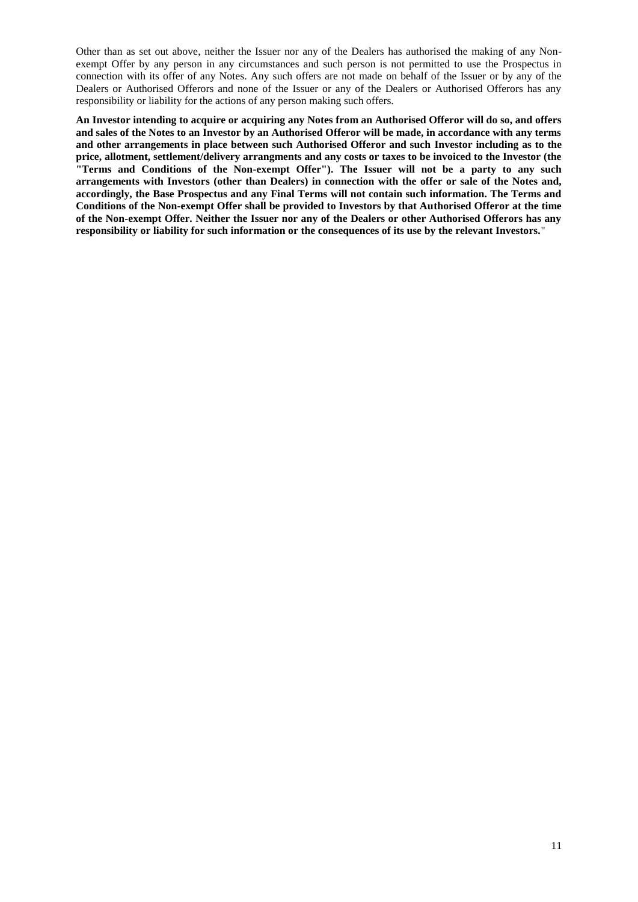Other than as set out above, neither the Issuer nor any of the Dealers has authorised the making of any Nonexempt Offer by any person in any circumstances and such person is not permitted to use the Prospectus in connection with its offer of any Notes. Any such offers are not made on behalf of the Issuer or by any of the Dealers or Authorised Offerors and none of the Issuer or any of the Dealers or Authorised Offerors has any responsibility or liability for the actions of any person making such offers.

**An Investor intending to acquire or acquiring any Notes from an Authorised Offeror will do so, and offers and sales of the Notes to an Investor by an Authorised Offeror will be made, in accordance with any terms and other arrangements in place between such Authorised Offeror and such Investor including as to the price, allotment, settlement/delivery arrangments and any costs or taxes to be invoiced to the Investor (the "Terms and Conditions of the Non-exempt Offer"). The Issuer will not be a party to any such arrangements with Investors (other than Dealers) in connection with the offer or sale of the Notes and, accordingly, the Base Prospectus and any Final Terms will not contain such information. The Terms and Conditions of the Non-exempt Offer shall be provided to Investors by that Authorised Offeror at the time of the Non-exempt Offer. Neither the Issuer nor any of the Dealers or other Authorised Offerors has any responsibility or liability for such information or the consequences of its use by the relevant Investors.**"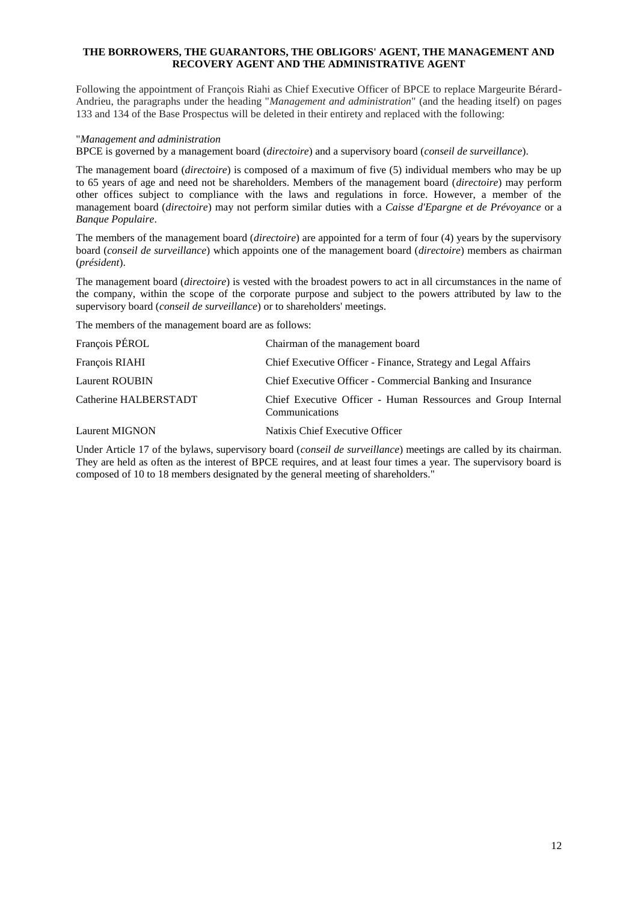## <span id="page-11-0"></span>**THE BORROWERS, THE GUARANTORS, THE OBLIGORS' AGENT, THE MANAGEMENT AND RECOVERY AGENT AND THE ADMINISTRATIVE AGENT**

Following the appointment of François Riahi as Chief Executive Officer of BPCE to replace Margeurite Bérard-Andrieu, the paragraphs under the heading "*Management and administration*" (and the heading itself) on pages 133 and 134 of the Base Prospectus will be deleted in their entirety and replaced with the following:

### "*Management and administration*

BPCE is governed by a management board (*directoire*) and a supervisory board (*conseil de surveillance*).

The management board (*directoire*) is composed of a maximum of five (5) individual members who may be up to 65 years of age and need not be shareholders. Members of the management board (*directoire*) may perform other offices subject to compliance with the laws and regulations in force. However, a member of the management board (*directoire*) may not perform similar duties with a *Caisse d'Epargne et de Prévoyance* or a *Banque Populaire*.

The members of the management board (*directoire*) are appointed for a term of four (4) years by the supervisory board (*conseil de surveillance*) which appoints one of the management board (*directoire*) members as chairman (*président*).

The management board (*directoire*) is vested with the broadest powers to act in all circumstances in the name of the company, within the scope of the corporate purpose and subject to the powers attributed by law to the supervisory board (*conseil de surveillance*) or to shareholders' meetings.

The members of the management board are as follows:

| François PÉROL        | Chairman of the management board                                                |
|-----------------------|---------------------------------------------------------------------------------|
| François RIAHI        | Chief Executive Officer - Finance, Strategy and Legal Affairs                   |
| <b>Laurent ROUBIN</b> | Chief Executive Officer - Commercial Banking and Insurance                      |
| Catherine HALBERSTADT | Chief Executive Officer - Human Ressources and Group Internal<br>Communications |
| <b>Laurent MIGNON</b> | Natixis Chief Executive Officer                                                 |

Under Article 17 of the bylaws, supervisory board (*conseil de surveillance*) meetings are called by its chairman. They are held as often as the interest of BPCE requires, and at least four times a year. The supervisory board is composed of 10 to 18 members designated by the general meeting of shareholders."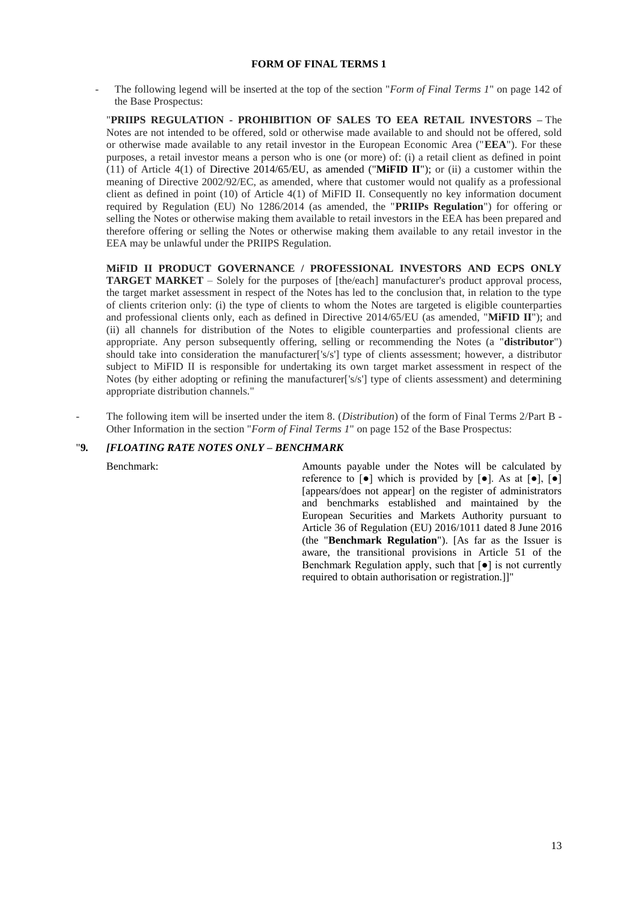## **FORM OF FINAL TERMS 1**

<span id="page-12-0"></span>- The following legend will be inserted at the top of the section "*Form of Final Terms 1*" on page 142 of the Base Prospectus:

"**PRIIPS REGULATION - PROHIBITION OF SALES TO EEA RETAIL INVESTORS –** The Notes are not intended to be offered, sold or otherwise made available to and should not be offered, sold or otherwise made available to any retail investor in the European Economic Area ("**EEA**"). For these purposes, a retail investor means a person who is one (or more) of: (i) a retail client as defined in point (11) of Article 4(1) of Directive 2014/65/EU, as amended ("**MiFID II**"); or (ii) a customer within the meaning of Directive 2002/92/EC, as amended, where that customer would not qualify as a professional client as defined in point (10) of Article 4(1) of MiFID II. Consequently no key information document required by Regulation (EU) No 1286/2014 (as amended, the "**PRIIPs Regulation**") for offering or selling the Notes or otherwise making them available to retail investors in the EEA has been prepared and therefore offering or selling the Notes or otherwise making them available to any retail investor in the EEA may be unlawful under the PRIIPS Regulation.

**MiFID II PRODUCT GOVERNANCE / PROFESSIONAL INVESTORS AND ECPS ONLY TARGET MARKET** – Solely for the purposes of [the/each] manufacturer's product approval process, the target market assessment in respect of the Notes has led to the conclusion that, in relation to the type of clients criterion only: (i) the type of clients to whom the Notes are targeted is eligible counterparties and professional clients only, each as defined in Directive 2014/65/EU (as amended, "**MiFID II**"); and (ii) all channels for distribution of the Notes to eligible counterparties and professional clients are appropriate. Any person subsequently offering, selling or recommending the Notes (a "**distributor**") should take into consideration the manufacturer['s/s'] type of clients assessment; however, a distributor subject to MiFID II is responsible for undertaking its own target market assessment in respect of the Notes (by either adopting or refining the manufacturer['s/s'] type of clients assessment) and determining appropriate distribution channels."

- The following item will be inserted under the item 8. (*Distribution*) of the form of Final Terms 2/Part B - Other Information in the section "*Form of Final Terms 1*" on page 152 of the Base Prospectus:

## "**9***. [FLOATING RATE NOTES ONLY – BENCHMARK*

Benchmark: Amounts payable under the Notes will be calculated by reference to  $\lceil \bullet \rceil$  which is provided by  $\lceil \bullet \rceil$ . As at  $\lceil \bullet \rceil$ ,  $\lceil \bullet \rceil$ [appears/does not appear] on the register of administrators and benchmarks established and maintained by the European Securities and Markets Authority pursuant to Article 36 of Regulation (EU) 2016/1011 dated 8 June 2016 (the "**Benchmark Regulation**"). [As far as the Issuer is aware, the transitional provisions in Article 51 of the Benchmark Regulation apply, such that [●] is not currently required to obtain authorisation or registration.]]"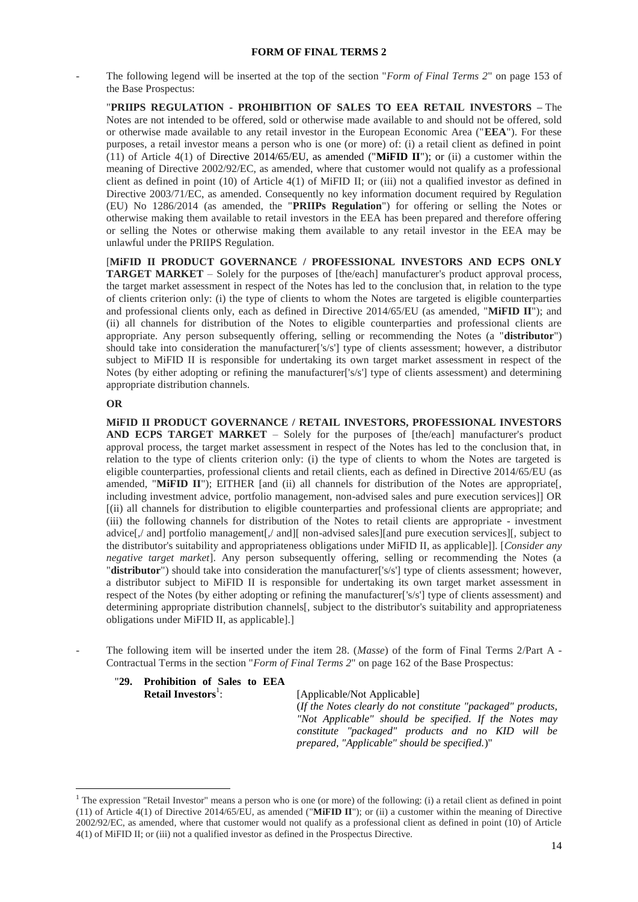<span id="page-13-0"></span>The following legend will be inserted at the top of the section "*Form of Final Terms 2*" on page 153 of the Base Prospectus:

"**PRIIPS REGULATION - PROHIBITION OF SALES TO EEA RETAIL INVESTORS –** The Notes are not intended to be offered, sold or otherwise made available to and should not be offered, sold or otherwise made available to any retail investor in the European Economic Area ("**EEA**"). For these purposes, a retail investor means a person who is one (or more) of: (i) a retail client as defined in point (11) of Article 4(1) of Directive 2014/65/EU, as amended ("**MiFID II**"); or (ii) a customer within the meaning of Directive 2002/92/EC, as amended, where that customer would not qualify as a professional client as defined in point (10) of Article 4(1) of MiFID II; or (iii) not a qualified investor as defined in Directive 2003/71/EC, as amended. Consequently no key information document required by Regulation (EU) No 1286/2014 (as amended, the "**PRIIPs Regulation**") for offering or selling the Notes or otherwise making them available to retail investors in the EEA has been prepared and therefore offering or selling the Notes or otherwise making them available to any retail investor in the EEA may be unlawful under the PRIIPS Regulation.

[**MiFID II PRODUCT GOVERNANCE / PROFESSIONAL INVESTORS AND ECPS ONLY TARGET MARKET** – Solely for the purposes of [the/each] manufacturer's product approval process, the target market assessment in respect of the Notes has led to the conclusion that, in relation to the type of clients criterion only: (i) the type of clients to whom the Notes are targeted is eligible counterparties and professional clients only, each as defined in Directive 2014/65/EU (as amended, "**MiFID II**"); and (ii) all channels for distribution of the Notes to eligible counterparties and professional clients are appropriate. Any person subsequently offering, selling or recommending the Notes (a "**distributor**") should take into consideration the manufacturer['s/s'] type of clients assessment; however, a distributor subject to MiFID II is responsible for undertaking its own target market assessment in respect of the Notes (by either adopting or refining the manufacturer<sup>['s/s']</sup> type of clients assessment) and determining appropriate distribution channels.

# **OR**

 $\overline{a}$ 

**MiFID II PRODUCT GOVERNANCE / RETAIL INVESTORS, PROFESSIONAL INVESTORS AND ECPS TARGET MARKET** – Solely for the purposes of [the/each] manufacturer's product approval process, the target market assessment in respect of the Notes has led to the conclusion that, in relation to the type of clients criterion only: (i) the type of clients to whom the Notes are targeted is eligible counterparties, professional clients and retail clients, each as defined in Directive 2014/65/EU (as amended, "**MIFID II**"); EITHER [and (ii) all channels for distribution of the Notes are appropriate[, including investment advice, portfolio management, non-advised sales and pure execution services]] OR [(ii) all channels for distribution to eligible counterparties and professional clients are appropriate; and (iii) the following channels for distribution of the Notes to retail clients are appropriate - investment advice[,/ and] portfolio management[,/ and][ non-advised sales][and pure execution services][, subject to the distributor's suitability and appropriateness obligations under MiFID II, as applicable]]. [*Consider any negative target market*]. Any person subsequently offering, selling or recommending the Notes (a "**distributor**") should take into consideration the manufacturer<sup>['s</sup>/s'] type of clients assessment; however, a distributor subject to MiFID II is responsible for undertaking its own target market assessment in respect of the Notes (by either adopting or refining the manufacturer['s/s'] type of clients assessment) and determining appropriate distribution channels. subject to the distributor's suitability and appropriateness obligations under MiFID II, as applicable].]

- The following item will be inserted under the item 28. (*Masse*) of the form of Final Terms 2/Part A - Contractual Terms in the section "*Form of Final Terms 2*" on page 162 of the Base Prospectus:

### "**29. Prohibition of Sales to EEA Retail Investors**<sup>1</sup>:

: [Applicable/Not Applicable]

(*If the Notes clearly do not constitute "packaged" products, "Not Applicable" should be specified. If the Notes may constitute "packaged" products and no KID will be prepared, "Applicable" should be specified.*)"

 $<sup>1</sup>$  The expression "Retail Investor" means a person who is one (or more) of the following: (i) a retail client as defined in point</sup> (11) of Article 4(1) of Directive 2014/65/EU, as amended ("**MiFID II**"); or (ii) a customer within the meaning of Directive 2002/92/EC, as amended, where that customer would not qualify as a professional client as defined in point (10) of Article 4(1) of MiFID II; or (iii) not a qualified investor as defined in the Prospectus Directive.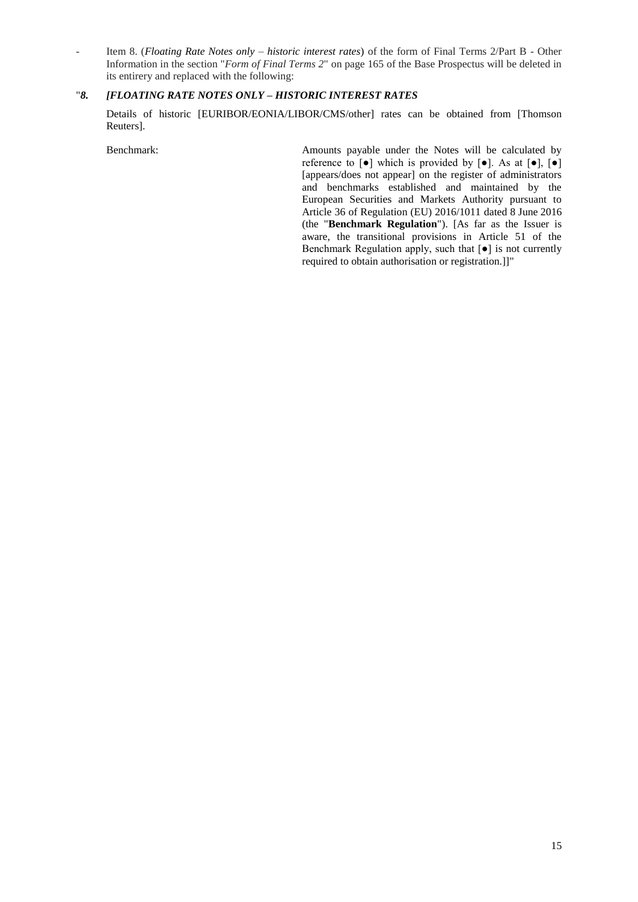- Item 8. (*Floating Rate Notes only – historic interest rates*) of the form of Final Terms 2/Part B - Other Information in the section "*Form of Final Terms 2*" on page 165 of the Base Prospectus will be deleted in its entirery and replaced with the following:

# "*8. [FLOATING RATE NOTES ONLY – HISTORIC INTEREST RATES*

Details of historic [EURIBOR/EONIA/LIBOR/CMS/other] rates can be obtained from [Thomson Reuters].

Benchmark: Amounts payable under the Notes will be calculated by reference to  $\lceil \bullet \rceil$  which is provided by  $\lceil \bullet \rceil$ . As at  $\lceil \bullet \rceil$ ,  $\lceil \bullet \rceil$ [appears/does not appear] on the register of administrators and benchmarks established and maintained by the European Securities and Markets Authority pursuant to Article 36 of Regulation (EU) 2016/1011 dated 8 June 2016 (the "**Benchmark Regulation**"). [As far as the Issuer is aware, the transitional provisions in Article 51 of the Benchmark Regulation apply, such that  $\lceil \bullet \rceil$  is not currently required to obtain authorisation or registration.]]"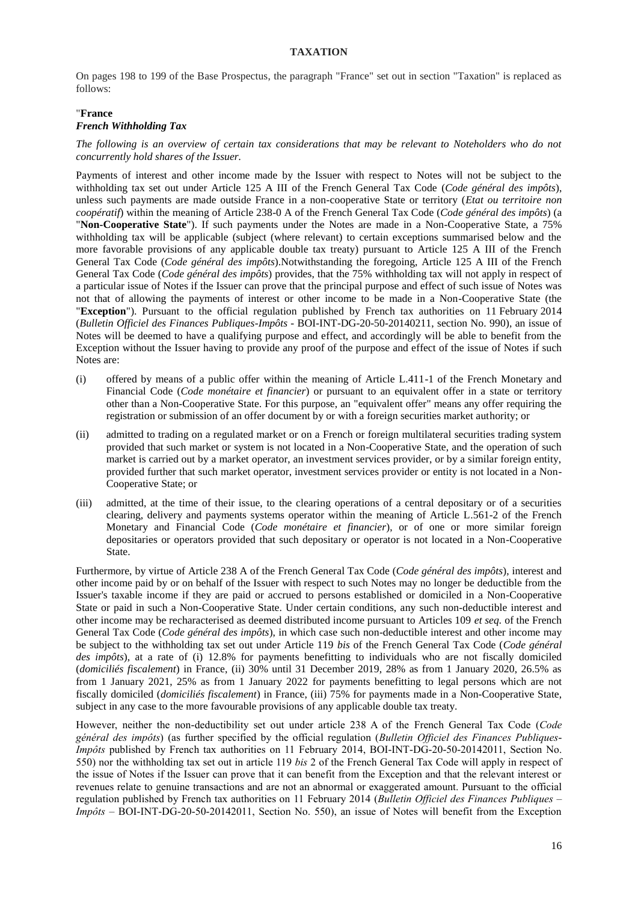## **TAXATION**

<span id="page-15-0"></span>On pages 198 to 199 of the Base Prospectus, the paragraph "France" set out in section "Taxation" is replaced as follows:

## "**France** *French Withholding Tax*

*The following is an overview of certain tax considerations that may be relevant to Noteholders who do not concurrently hold shares of the Issuer.*

Payments of interest and other income made by the Issuer with respect to Notes will not be subject to the withholding tax set out under Article 125 A III of the French General Tax Code (*Code général des impôts*), unless such payments are made outside France in a non-cooperative State or territory (*Etat ou territoire non coopératif*) within the meaning of Article 238-0 A of the French General Tax Code (*Code général des impôts*) (a "**Non-Cooperative State**"). If such payments under the Notes are made in a Non-Cooperative State, a 75% withholding tax will be applicable (subject (where relevant) to certain exceptions summarised below and the more favorable provisions of any applicable double tax treaty) pursuant to Article 125 A III of the French General Tax Code (*Code général des impôts*).Notwithstanding the foregoing, Article 125 A III of the French General Tax Code (*Code général des impôts*) provides, that the 75% withholding tax will not apply in respect of a particular issue of Notes if the Issuer can prove that the principal purpose and effect of such issue of Notes was not that of allowing the payments of interest or other income to be made in a Non-Cooperative State (the "**Exception**"). Pursuant to the official regulation published by French tax authorities on 11 February 2014 (*Bulletin Officiel des Finances Publiques-Impôts* - BOI-INT-DG-20-50-20140211, section No. 990), an issue of Notes will be deemed to have a qualifying purpose and effect, and accordingly will be able to benefit from the Exception without the Issuer having to provide any proof of the purpose and effect of the issue of Notes if such Notes are:

- (i) offered by means of a public offer within the meaning of Article L.411-1 of the French Monetary and Financial Code (*Code monétaire et financier*) or pursuant to an equivalent offer in a state or territory other than a Non-Cooperative State. For this purpose, an "equivalent offer" means any offer requiring the registration or submission of an offer document by or with a foreign securities market authority; or
- (ii) admitted to trading on a regulated market or on a French or foreign multilateral securities trading system provided that such market or system is not located in a Non-Cooperative State, and the operation of such market is carried out by a market operator, an investment services provider, or by a similar foreign entity, provided further that such market operator, investment services provider or entity is not located in a Non-Cooperative State; or
- (iii) admitted, at the time of their issue, to the clearing operations of a central depositary or of a securities clearing, delivery and payments systems operator within the meaning of Article L.561-2 of the French Monetary and Financial Code (*Code monétaire et financier*), or of one or more similar foreign depositaries or operators provided that such depositary or operator is not located in a Non-Cooperative State.

Furthermore, by virtue of Article 238 A of the French General Tax Code (*Code général des impôts*), interest and other income paid by or on behalf of the Issuer with respect to such Notes may no longer be deductible from the Issuer's taxable income if they are paid or accrued to persons established or domiciled in a Non-Cooperative State or paid in such a Non-Cooperative State. Under certain conditions, any such non-deductible interest and other income may be recharacterised as deemed distributed income pursuant to Articles 109 *et seq.* of the French General Tax Code (*Code général des impôts*), in which case such non-deductible interest and other income may be subject to the withholding tax set out under Article 119 *bis* of the French General Tax Code (*Code général des impôts*), at a rate of (i) 12.8% for payments benefitting to individuals who are not fiscally domiciled (*domiciliés fiscalement*) in France, (ii) 30% until 31 December 2019, 28% as from 1 January 2020, 26.5% as from 1 January 2021, 25% as from 1 January 2022 for payments benefitting to legal persons which are not fiscally domiciled (*domiciliés fiscalement*) in France, (iii) 75% for payments made in a Non-Cooperative State, subject in any case to the more favourable provisions of any applicable double tax treaty.

However, neither the non-deductibility set out under article 238 A of the French General Tax Code (*Code général des impôts*) (as further specified by the official regulation (*Bulletin Officiel des Finances Publiques-Impôts* published by French tax authorities on 11 February 2014, BOI-INT-DG-20-50-20142011, Section No. 550) nor the withholding tax set out in article 119 *bis* 2 of the French General Tax Code will apply in respect of the issue of Notes if the Issuer can prove that it can benefit from the Exception and that the relevant interest or revenues relate to genuine transactions and are not an abnormal or exaggerated amount. Pursuant to the official regulation published by French tax authorities on 11 February 2014 (*Bulletin Officiel des Finances Publiques* – *Impôts* – BOI-INT-DG-20-50-20142011, Section No. 550), an issue of Notes will benefit from the Exception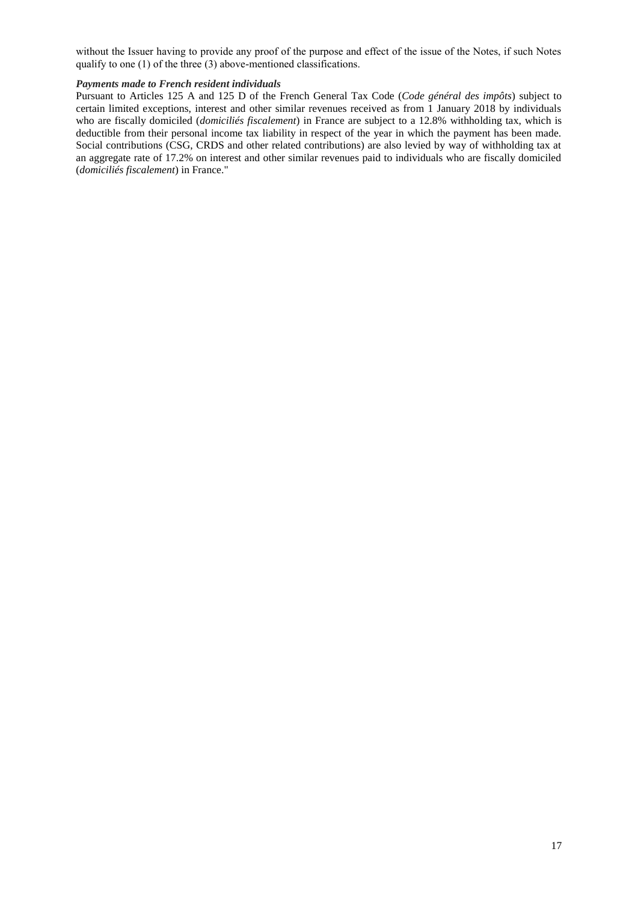without the Issuer having to provide any proof of the purpose and effect of the issue of the Notes, if such Notes qualify to one (1) of the three (3) above-mentioned classifications.

#### *Payments made to French resident individuals*

Pursuant to Articles 125 A and 125 D of the French General Tax Code (*Code général des impôts*) subject to certain limited exceptions, interest and other similar revenues received as from 1 January 2018 by individuals who are fiscally domiciled (*domiciliés fiscalement*) in France are subject to a 12.8% withholding tax, which is deductible from their personal income tax liability in respect of the year in which the payment has been made. Social contributions (CSG, CRDS and other related contributions) are also levied by way of withholding tax at an aggregate rate of 17.2% on interest and other similar revenues paid to individuals who are fiscally domiciled (*domiciliés fiscalement*) in France."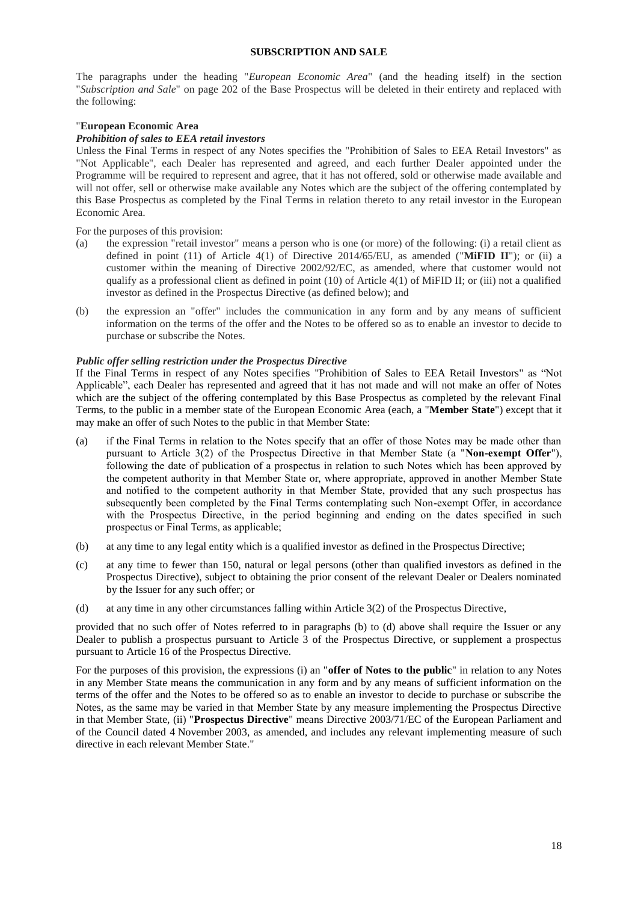### **SUBSCRIPTION AND SALE**

<span id="page-17-0"></span>The paragraphs under the heading "*European Economic Area*" (and the heading itself) in the section "*Subscription and Sale*" on page 202 of the Base Prospectus will be deleted in their entirety and replaced with the following:

## "**European Economic Area**

## *Prohibition of sales to EEA retail investors*

Unless the Final Terms in respect of any Notes specifies the "Prohibition of Sales to EEA Retail Investors" as "Not Applicable", each Dealer has represented and agreed, and each further Dealer appointed under the Programme will be required to represent and agree, that it has not offered, sold or otherwise made available and will not offer, sell or otherwise make available any Notes which are the subject of the offering contemplated by this Base Prospectus as completed by the Final Terms in relation thereto to any retail investor in the European Economic Area.

For the purposes of this provision:

- (a) the expression "retail investor" means a person who is one (or more) of the following: (i) a retail client as defined in point (11) of Article 4(1) of Directive 2014/65/EU, as amended ("**MiFID II**"); or (ii) a customer within the meaning of Directive 2002/92/EC, as amended, where that customer would not qualify as a professional client as defined in point  $(10)$  of Article  $4(1)$  of MiFID II; or (iii) not a qualified investor as defined in the Prospectus Directive (as defined below); and
- (b) the expression an "offer" includes the communication in any form and by any means of sufficient information on the terms of the offer and the Notes to be offered so as to enable an investor to decide to purchase or subscribe the Notes.

### *Public offer selling restriction under the Prospectus Directive*

If the Final Terms in respect of any Notes specifies "Prohibition of Sales to EEA Retail Investors" as "Not Applicable", each Dealer has represented and agreed that it has not made and will not make an offer of Notes which are the subject of the offering contemplated by this Base Prospectus as completed by the relevant Final Terms, to the public in a member state of the European Economic Area (each, a "**Member State**") except that it may make an offer of such Notes to the public in that Member State:

- (a) if the Final Terms in relation to the Notes specify that an offer of those Notes may be made other than pursuant to Article 3(2) of the Prospectus Directive in that Member State (a "**Non-exempt Offer**"), following the date of publication of a prospectus in relation to such Notes which has been approved by the competent authority in that Member State or, where appropriate, approved in another Member State and notified to the competent authority in that Member State, provided that any such prospectus has subsequently been completed by the Final Terms contemplating such Non-exempt Offer, in accordance with the Prospectus Directive, in the period beginning and ending on the dates specified in such prospectus or Final Terms, as applicable;
- (b) at any time to any legal entity which is a qualified investor as defined in the Prospectus Directive;
- (c) at any time to fewer than 150, natural or legal persons (other than qualified investors as defined in the Prospectus Directive), subject to obtaining the prior consent of the relevant Dealer or Dealers nominated by the Issuer for any such offer; or
- (d) at any time in any other circumstances falling within Article 3(2) of the Prospectus Directive,

provided that no such offer of Notes referred to in paragraphs (b) to (d) above shall require the Issuer or any Dealer to publish a prospectus pursuant to Article 3 of the Prospectus Directive, or supplement a prospectus pursuant to Article 16 of the Prospectus Directive.

For the purposes of this provision, the expressions (i) an "**offer of Notes to the public**" in relation to any Notes in any Member State means the communication in any form and by any means of sufficient information on the terms of the offer and the Notes to be offered so as to enable an investor to decide to purchase or subscribe the Notes, as the same may be varied in that Member State by any measure implementing the Prospectus Directive in that Member State, (ii) "**Prospectus Directive**" means Directive 2003/71/EC of the European Parliament and of the Council dated 4 November 2003, as amended, and includes any relevant implementing measure of such directive in each relevant Member State."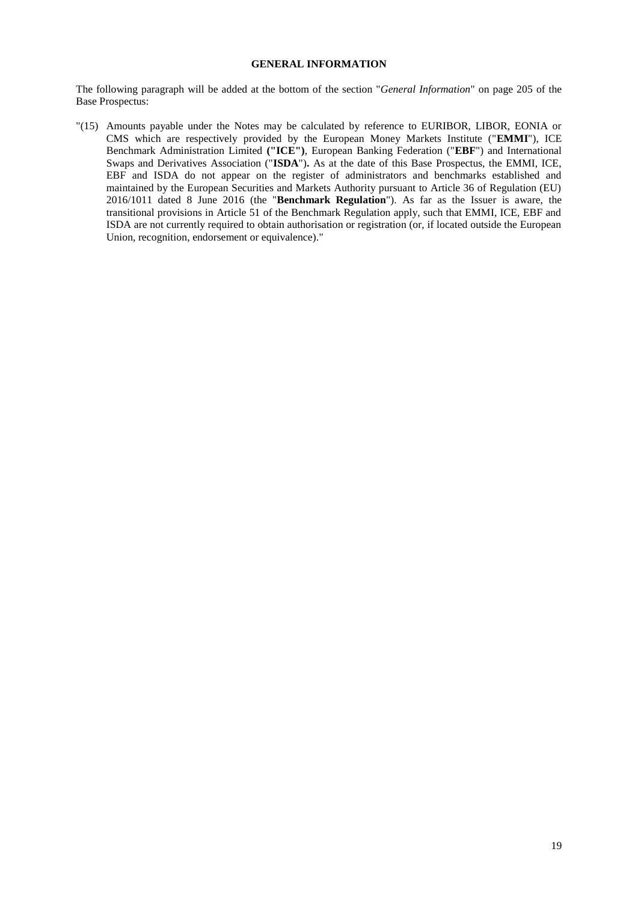## **GENERAL INFORMATION**

<span id="page-18-0"></span>The following paragraph will be added at the bottom of the section "*General Information*" on page 205 of the Base Prospectus:

"(15) Amounts payable under the Notes may be calculated by reference to EURIBOR, LIBOR, EONIA or CMS which are respectively provided by the European Money Markets Institute ("**EMMI**"), ICE Benchmark Administration Limited **("ICE")**, European Banking Federation ("**EBF**") and International Swaps and Derivatives Association ("**ISDA**")**.** As at the date of this Base Prospectus, the EMMI, ICE, EBF and ISDA do not appear on the register of administrators and benchmarks established and maintained by the European Securities and Markets Authority pursuant to Article 36 of Regulation (EU) 2016/1011 dated 8 June 2016 (the "**Benchmark Regulation**"). As far as the Issuer is aware, the transitional provisions in Article 51 of the Benchmark Regulation apply, such that EMMI, ICE, EBF and ISDA are not currently required to obtain authorisation or registration (or, if located outside the European Union, recognition, endorsement or equivalence)."